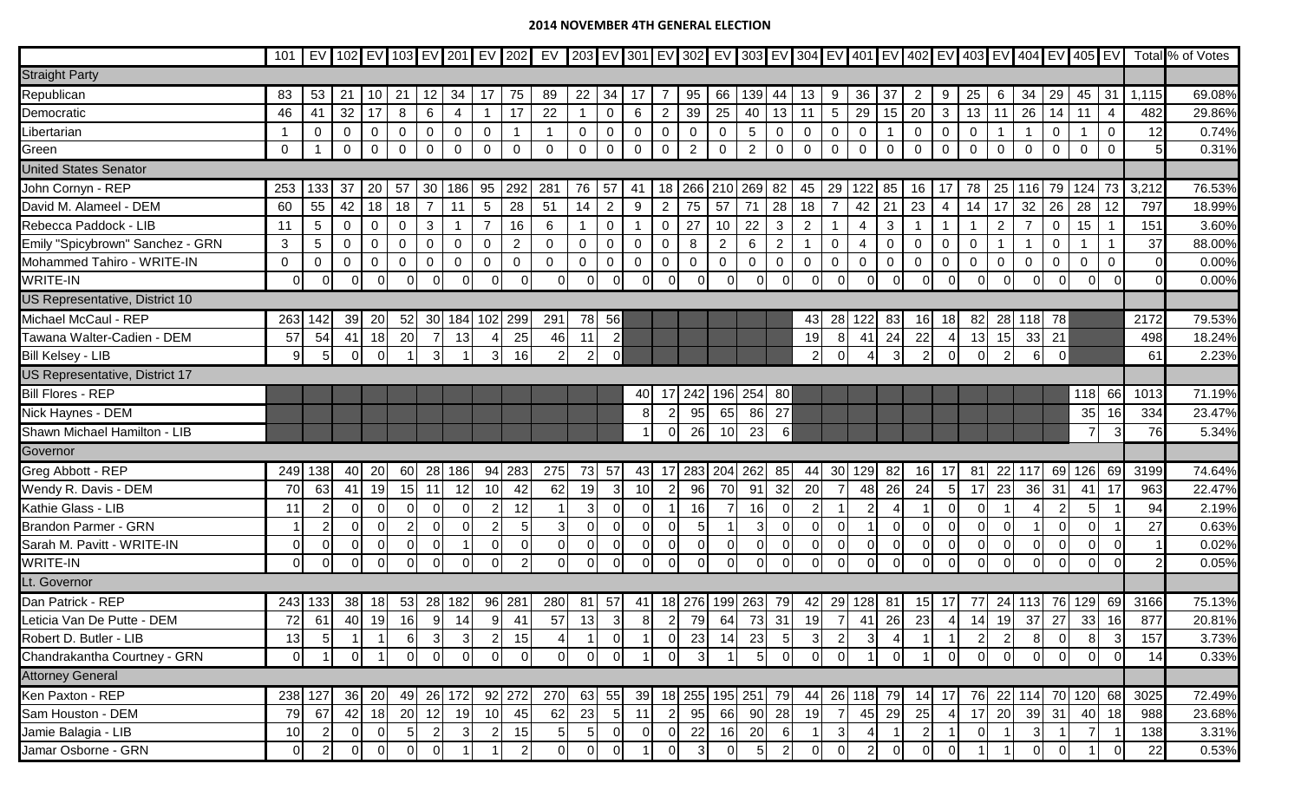## **2014 NOVEMBER 4TH GENERAL ELECTION**

|                                  | 101            |                |             |          |                |                |                |                |                  |                |             |                |                |                |                |                 |              |                |                |                 |                |             |                 |                |                |                |                |             |                  |                |       | EV 102 EV 103 EV 201 EV 202 EV 203 EV 301 EV 302 EV 302 EV 303 EV 304 EV 401 EV 402 EV 403 EV 404 EV 405 EV Total % of Votes |
|----------------------------------|----------------|----------------|-------------|----------|----------------|----------------|----------------|----------------|------------------|----------------|-------------|----------------|----------------|----------------|----------------|-----------------|--------------|----------------|----------------|-----------------|----------------|-------------|-----------------|----------------|----------------|----------------|----------------|-------------|------------------|----------------|-------|------------------------------------------------------------------------------------------------------------------------------|
| <b>Straight Party</b>            |                |                |             |          |                |                |                |                |                  |                |             |                |                |                |                |                 |              |                |                |                 |                |             |                 |                |                |                |                |             |                  |                |       |                                                                                                                              |
| Republican                       | 83             | 53             | 21          | 10       | 21             | 12             | 34             | 17             | 75               | 89             | 22          | 34             | -17            | -7             | 95             | 66              | 139          | 44             | 13             | 9               | 36             | 37          | $2\overline{ }$ | 9              | 25             | 6              | 34             | 29          | 45 31            |                | 1,115 | 69.08%                                                                                                                       |
| Democratic                       | 46             | 41             | 32          | 17       | 8              | 6              | 4              | -1             | 17               | 22             |             | $\mathbf 0$    | 6              | $\overline{2}$ | 39             | 25              | 40           | 13             | 11             | $5\phantom{.0}$ | 29             | 15          | 20              | $\mathbf{3}$   | 13             | 11             | 26             | 14          | 11               | $\overline{4}$ | 482   | 29.86%                                                                                                                       |
| Libertarian                      |                | 0              | $\mathbf 0$ | 0        | $\mathbf 0$    | 0              | $\mathbf 0$    | $\overline{0}$ |                  | $\mathbf{1}$   | 0           | $\pmb{0}$      | $\mathbf 0$    | $\mathbf 0$    | $\mathbf 0$    | $\mathbf 0$     | 5            | $\mathbf 0$    | $\mathbf 0$    | 0               | 0              |             | 0               | $\mathbf 0$    | $\mathbf 0$    |                |                | $\mathbf 0$ |                  | 0              | 12    | 0.74%                                                                                                                        |
| Green                            | $\mathbf 0$    |                | $\mathbf 0$ | 0        | $\mathbf 0$    | $\mathbf 0$    | $\overline{0}$ | $\overline{0}$ | $\mathbf 0$      | $\Omega$       | 0           | $\mathbf 0$    | $\overline{0}$ | $\overline{0}$ | $\overline{2}$ | $\mathbf 0$     | 2            | $\overline{0}$ | $\mathbf 0$    | 0               | $\mathbf 0$    | $\mathbf 0$ | $\mathbf 0$     | $\mathbf 0$    | $\mathbf 0$    | $\mathbf 0$    | $\overline{0}$ | $\mathbf 0$ | $\mathbf 0$      | $\mathbf 0$    |       | 0.31%                                                                                                                        |
| <b>United States Senator</b>     |                |                |             |          |                |                |                |                |                  |                |             |                |                |                |                |                 |              |                |                |                 |                |             |                 |                |                |                |                |             |                  |                |       |                                                                                                                              |
| John Cornyn - REP                | 253            | 133            | 37          | 20       | 57             | 30             | 186            | 95             | 292              | 281            | 76          | 57             | -41            | 18             | 266            | 210             | 269          | 82             | 45             | 29              | 122            | 85          | 16              | 17             | 78             |                | 25 116         | 79          | 124              | 73             | 3,212 | 76.53%                                                                                                                       |
| David M. Alameel - DEM           | 60             | 55             | 42          | 18       | 18             | $\overline{7}$ | 11             | 5              | 28               | 51             | 14          | 2 <sup>1</sup> | 9              | $\overline{2}$ | 75             | 57              | 71           | 28             | 18             | $\overline{7}$  | 42             | 21          | 23              | 4              | 14             | 17             | 32             | 26          | 28               | 12             | 797   | 18.99%                                                                                                                       |
| Rebecca Paddock - LIB            | 11             | 5 <sup>5</sup> | $\mathbf 0$ | 0        | $\mathbf 0$    | 3              |                | $\overline{7}$ | 16               | 6              |             | 0              |                | $\mathbf 0$    | 27             | 10 <sup>°</sup> | 22           | 3              | $\overline{2}$ |                 | 4              | 3           |                 | $\mathbf{1}$   | $\overline{1}$ | $\overline{2}$ | $\overline{7}$ | $\mathbf 0$ | 15 <sub>15</sub> |                | 151   | 3.60%                                                                                                                        |
| Emily "Spicybrown" Sanchez - GRN | 3              | 5 <sup>5</sup> | $\mathbf 0$ | $\Omega$ | $\mathbf 0$    | 0              | $\mathbf 0$    | $\overline{0}$ | $\overline{2}$   | $\mathbf 0$    | 0           | $\mathbf 0$    | $\mathbf 0$    | $\mathbf 0$    | 8              | $\overline{2}$  | 6            | $\overline{2}$ | $\mathbf{1}$   | 0               | 4              | $\mathbf 0$ | 0               | $\mathbf 0$    | 0              |                |                | $\mathbf 0$ |                  |                | 37    | 88.00%                                                                                                                       |
| Mohammed Tahiro - WRITE-IN       | $\overline{0}$ | 0              | $\mathbf 0$ | 0        | $\mathbf 0$    | 0              | $\mathbf 0$    | $\overline{0}$ | $\boldsymbol{0}$ | $\mathbf 0$    | $\mathbf 0$ | $\pmb{0}$      | $\mathbf 0$    | $\mathbf 0$    | $\mathbf 0$    | $\mathbf 0$     | $\mathbf 0$  | $\mathbf 0$    | $\mathbf 0$    | 0               | $\mathbf 0$    | $\mathbf 0$ | 0               | $\mathbf 0$    | $\mathbf 0$    | $\mathbf 0$    | $\mathbf 0$    | $\mathbf 0$ | $\mathbf 0$      | $\mathbf 0$    |       | 0.00%                                                                                                                        |
| WRITE-IN                         | 0              | $\Omega$       | $\Omega$    | $\Omega$ | $\Omega$       | $\Omega$       | $\overline{0}$ | $\Omega$       | $\Omega$         | $\overline{O}$ |             | $\overline{0}$ | $\Omega$       | $\Omega$       | $\mathbf 0$    | $\Omega$        | $\Omega$     |                | $\Omega$       | $\Omega$        | $\overline{0}$ | $\Omega$    | $\Omega$        | $\overline{0}$ |                | $\overline{0}$ | $\Omega$       |             | $\mathbf 0$      |                |       | 0.00%                                                                                                                        |
| US Representative, District 10   |                |                |             |          |                |                |                |                |                  |                |             |                |                |                |                |                 |              |                |                |                 |                |             |                 |                |                |                |                |             |                  |                |       |                                                                                                                              |
| Michael McCaul - REP             | 263            | 142            | 39          | 20       | 52             | 30             | 184            | 102            | 299              | 291            | 78          | 56             |                |                |                |                 |              |                | 43             | 28              | 122            | 83          | 16              | 18             | 82             | 28             | 118 78         |             |                  |                | 2172  | 79.53%                                                                                                                       |
| Tawana Walter-Cadien - DEM       | 57             | 54             | 41          | 18       | 20             |                | 13             |                | 25               | 46             | 11          | $\overline{2}$ |                |                |                |                 |              |                | 19             | 8               | 41             | 24          | 22              | $\overline{4}$ | 13             | 15             |                | 33 21       |                  |                | 498   | 18.24%                                                                                                                       |
| <b>Bill Kelsey - LIB</b>         | $\overline{9}$ | 5              | $\Omega$    | $\Omega$ |                | $\overline{3}$ |                | 3              | 16               | 2 <sup>1</sup> |             | $\overline{0}$ |                |                |                |                 |              |                | $\overline{2}$ |                 |                | 3           | $\overline{2}$  | $\overline{0}$ |                | 2              | 6              | 0           |                  |                | 61    | 2.23%                                                                                                                        |
| US Representative, District 17   |                |                |             |          |                |                |                |                |                  |                |             |                |                |                |                |                 |              |                |                |                 |                |             |                 |                |                |                |                |             |                  |                |       |                                                                                                                              |
| <b>Bill Flores - REP</b>         |                |                |             |          |                |                |                |                |                  |                |             |                | 40             |                | 242            | 196             | 254          | 80             |                |                 |                |             |                 |                |                |                |                |             | 118              | 66             | 1013  | 71.19%                                                                                                                       |
| Nick Haynes - DEM                |                |                |             |          |                |                |                |                |                  |                |             |                | 8              |                | 95             | 65              | 86           | 27             |                |                 |                |             |                 |                |                |                |                |             | 35               | 16             | 334   | 23.47%                                                                                                                       |
| Shawn Michael Hamilton - LIB     |                |                |             |          |                |                |                |                |                  |                |             |                |                |                | 26             | 10              | 23           | $6 \mid$       |                |                 |                |             |                 |                |                |                |                |             | $\overline{7}$   | 3              | 76    | 5.34%                                                                                                                        |
| Governor                         |                |                |             |          |                |                |                |                |                  |                |             |                |                |                |                |                 |              |                |                |                 |                |             |                 |                |                |                |                |             |                  |                |       |                                                                                                                              |
| Greg Abbott - REP                | 249            | 138            | 40          | 20       | 60             | 28             | 186            | 94             | 283              | 275            | 73          | 57             | 43             | 17             | 283            | 204             | 262          | 85             | 44             | 30              | 129            | 82          | 16              | -17            | 81             | 22             | 117            | 69          | 126              | 69             | 3199  | 74.64%                                                                                                                       |
| Wendy R. Davis - DEM             | 70             | 63             | 41          | 19       | 15             | 11             | 12             | 10             | 42               | 62             | 19          | $\mathbf{3}$   | 10             |                | 96             | 70              | 91           | 32             | 20             | $\overline{7}$  | 48             | 26          | 24              | 5 <sub>5</sub> | 17             | 23             | 36             | 31          | 41               | 17             | 963   | 22.47%                                                                                                                       |
| Kathie Glass - LIB               | 11             |                | ΩI          | $\Omega$ | $\Omega$       | $\Omega$       | $\Omega$       | $\overline{2}$ | 12               |                | З           | $\Omega$       | $\Omega$       |                | 16             |                 | 16           |                | $\overline{2}$ |                 | $\overline{2}$ |             |                 | $\overline{0}$ |                |                |                |             | 5                |                | 94    | 2.19%                                                                                                                        |
| <b>Brandon Parmer - GRN</b>      |                | $\overline{2}$ | 0           | $\Omega$ | $\overline{2}$ | $\Omega$       | $\mathbf 0$    | $\overline{2}$ | 5 <sub>l</sub>   | 3 <sup>1</sup> |             | $\overline{0}$ | $\overline{0}$ |                | 5              |                 | $\mathbf{3}$ |                | $\mathbf 0$    | $\Omega$        |                | $\Omega$    | 0               | $\overline{0}$ |                | $\mathbf 0$    |                |             | $\Omega$         |                | 27    | 0.63%                                                                                                                        |
| Sarah M. Pavitt - WRITE-IN       | $\Omega$       | $\Omega$       | $\Omega$    | $\Omega$ | $\Omega$       | $\Omega$       |                | $\Omega$       | $\Omega$         | $\overline{0}$ |             | $\mathbf 0$    | $\overline{0}$ |                | $\Omega$       | $\mathbf 0$     | 0            |                | $\Omega$       |                 | $\mathbf 0$    | $\Omega$    | 0               | $\overline{0}$ |                | $\mathbf 0$    |                |             | $\Omega$         |                |       | 0.02%                                                                                                                        |
| WRITE-IN                         | ΩI             | $\Omega$       | $\Omega$    | $\Omega$ | ΩI             | $\Omega$       | $\Omega$       | $\Omega$       |                  | οI             |             | $\Omega$       | $\Omega$       |                | $\Omega$       | $\Omega$        | $\Omega$     |                | $\Omega$       |                 | $\Omega$       | $\Omega$    | $\Omega$        | $\Omega$       |                | $\Omega$       | $\Omega$       |             | $\Omega$         |                |       | 0.05%                                                                                                                        |
| Lt. Governor                     |                |                |             |          |                |                |                |                |                  |                |             |                |                |                |                |                 |              |                |                |                 |                |             |                 |                |                |                |                |             |                  |                |       |                                                                                                                              |
| Dan Patrick - REP                |                | 243 133        | 38          | 18       | 53             | 28             | 182            | 96             | 281              | 280            | 81          | 57             | 41             |                | 18 276         |                 | 199 263      | 79             | 42             | 29              | 128            | 81          | 15              | 17             | 77             | 24             | 113            | 76          | 129              | 69             | 3166  | 75.13%                                                                                                                       |
| Leticia Van De Putte - DEM       | 72             | 61             | 40          | 19       | 16             | 9              | 14             | 9              | 41               | 57             | 13          | 3              | 8 <sup>1</sup> | $\overline{2}$ | 79             | 64              | 73           | 31             | 19             | $\overline{7}$  | 41             | 26          | 23              | 4 <sup>1</sup> | 14             | 19             | 37             | 27          | 33               | 16             | 877   | 20.81%                                                                                                                       |
| Robert D. Butler - LIB           | 13             | 5              |             |          | 61             | $\mathbf{3}$   | $\mathbf{3}$   | $\mathbf{2}$   | 15               |                |             | $\mathbf 0$    |                |                | 23             | 14              | 23           |                |                |                 |                |             |                 |                |                | 2              | 8              |             | 8                | $\mathbf{3}$   | 157   | 3.73%                                                                                                                        |
| Chandrakantha Courtney - GRN     | $\Omega$       |                | $\Omega$    |          | ΩI             | $\Omega$       | $\Omega$       | $\Omega$       | $\Omega$         | $\Omega$       |             | $\Omega$       |                |                | 3              |                 |              |                | $\Omega$       |                 |                |             |                 | $\Omega$       |                | $\Omega$       |                |             |                  |                | 14    | 0.33%                                                                                                                        |
| <b>Attorney General</b>          |                |                |             |          |                |                |                |                |                  |                |             |                |                |                |                |                 |              |                |                |                 |                |             |                 |                |                |                |                |             |                  |                |       |                                                                                                                              |
| Ken Paxton - REP                 |                | 238 127        | 36          | 20       | 49             | 26             | 172            |                | 92 272           | 270            | 63          | 55             | 39             |                | 18 255         | 195 251         |              | 79             | 44             |                 | 26 118         | 79          | 14              | 17             | 76             |                |                |             | 22 114 70 120    | 68             | 3025  | 72.49%                                                                                                                       |
| Sam Houston - DEM                | 79             | 67             | 42          | 18       | 20             | 12             | 19             | 10             | 45               | 62             | 23          | 5 <sub>l</sub> | 11             |                | 95             | 66              |              | 90 28          | 19             | $\overline{7}$  | 45             | 29          | 25              | 4              | 17             | 20             |                | 39 31       | 40               | 18             | 988   | 23.68%                                                                                                                       |
| Jamie Balagia - LIB              | 10             |                | 01          | $\Omega$ |                |                | $\mathbf{3}$   |                | 15               | 5 <sub>l</sub> |             | $\overline{0}$ | <sup>O</sup>   |                | 22             | 16              | 20           |                |                | 3               | $\overline{4}$ |             | $\mathbf{2}$    | -1             |                |                | $\overline{3}$ |             |                  |                | 138   | 3.31%                                                                                                                        |
| Jamar Osborne - GRN              | $\overline{0}$ | 2              | $\Omega$    |          | $\Omega$       | $\Omega$       |                |                | $\mathcal{P}$    | $\overline{0}$ |             | $\Omega$       |                |                | 3              | $\overline{0}$  | 5            |                | $\Omega$       |                 | $\overline{2}$ | $\Omega$    | $\Omega$        | $\Omega$       |                |                |                |             |                  |                | 22    | 0.53%                                                                                                                        |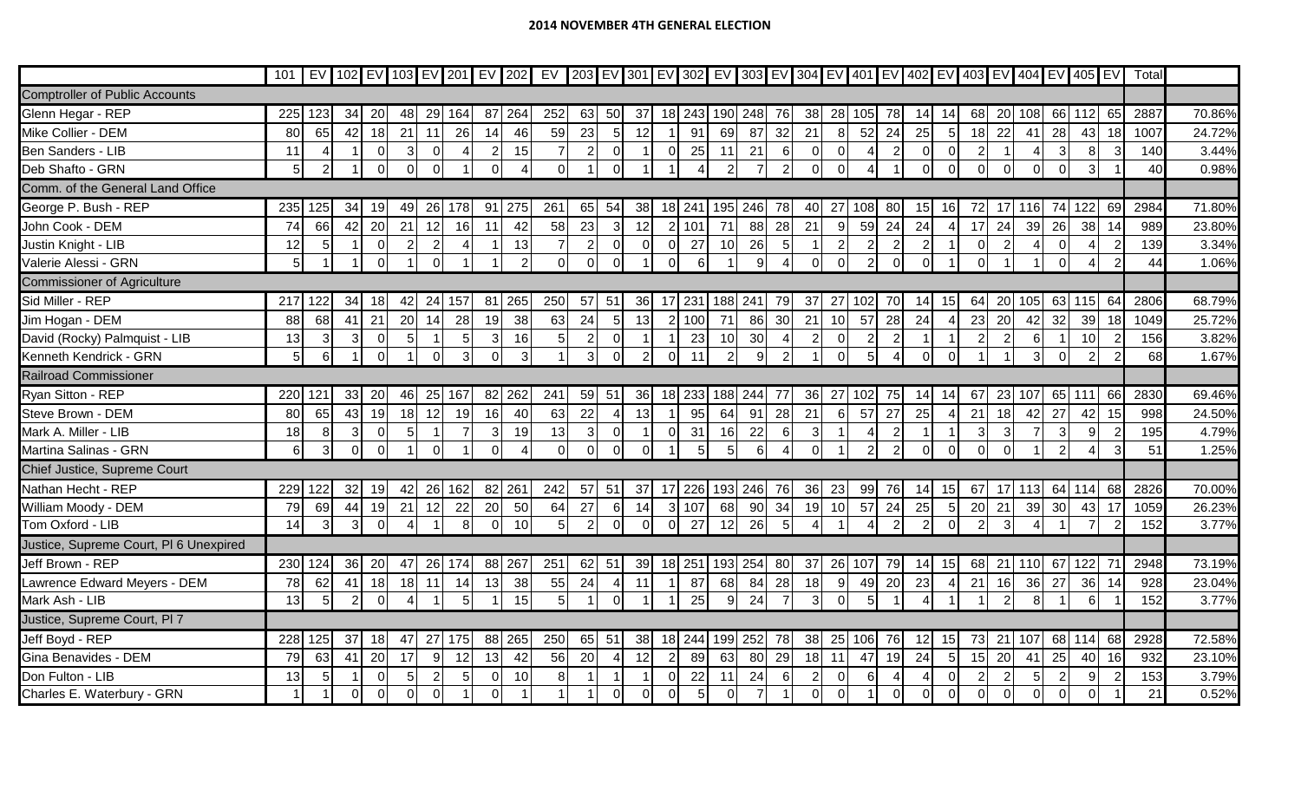|                                        | 101 |                 |                |                |                |                |                  |                |                |                |                |                  |                |                |    |                |                |                         |                       |                  |                |                |                 |                 |                |                |             |                | EV   102   EV   103   EV   201   EV   202   EV   203   EV   301   EV   302   EV   303   EV   304   EV   401   EV   402   EV   403   EV   404   EV   405   EV |     | Total |        |
|----------------------------------------|-----|-----------------|----------------|----------------|----------------|----------------|------------------|----------------|----------------|----------------|----------------|------------------|----------------|----------------|----|----------------|----------------|-------------------------|-----------------------|------------------|----------------|----------------|-----------------|-----------------|----------------|----------------|-------------|----------------|--------------------------------------------------------------------------------------------------------------------------------------------------------------|-----|-------|--------|
| <b>Comptroller of Public Accounts</b>  |     |                 |                |                |                |                |                  |                |                |                |                |                  |                |                |    |                |                |                         |                       |                  |                |                |                 |                 |                |                |             |                |                                                                                                                                                              |     |       |        |
| Glenn Hegar - REP                      | 225 | 123             | 34             | 20             | 48             | 29             | 164              | 87 264         |                | 252            | 63             | 50               | 37             | 18 243 190 248 |    |                |                | 76                      | 38                    | 28 105           |                | 78             | 14              | 14              | 68             |                | 20 108      | 66             | 112                                                                                                                                                          | 65  | 2887  | 70.86% |
| Mike Collier - DEM                     | 80  | 65              | 42             | 18             | 21             | 11             | 26               | 14             | 46             | 59             | 23             | 5 <sub>l</sub>   | 12             |                | 91 | 69             | 87             | 32                      | 21                    | 8 <sup>1</sup>   | 52             | 24             | 25              | 5 <sub>l</sub>  | 18             | 22             | 41          | 28             | 43                                                                                                                                                           | 18  | 1007  | 24.72% |
| <b>Ben Sanders - LIB</b>               | 11  |                 |                | $\mathbf 0$    | 3              | $\Omega$       | 4                | $\overline{2}$ | 15             | 7              |                | $\Omega$         |                | $\Omega$       | 25 | 11             | 21             | 6                       | $\mathbf 0$           | $\mathbf 0$      |                | $\overline{2}$ | $\Omega$        | $\Omega$        |                |                |             | -3             | 8 <sup>1</sup>                                                                                                                                               |     | 140   | 3.44%  |
| Deb Shafto - GRN                       | 5   | $\overline{2}$  |                | $\overline{0}$ |                | $\Omega$       |                  | $\Omega$       |                | $\overline{0}$ |                | $\Omega$         |                |                |    | $\overline{2}$ | $\overline{7}$ | 2                       | $\Omega$              | $\Omega$         |                |                | $\Omega$        | $\overline{0}$  | $\Omega$       |                | $\mathbf 0$ | $\Omega$       | 3                                                                                                                                                            |     | 40    | 0.98%  |
| Comm. of the General Land Office       |     |                 |                |                |                |                |                  |                |                |                |                |                  |                |                |    |                |                |                         |                       |                  |                |                |                 |                 |                |                |             |                |                                                                                                                                                              |     |       |        |
| George P. Bush - REP                   | 235 | 125             | 34             | 19             | 49             | 26             | 178              | 91 275         |                | 261            | 65             | 54               | 38             | 18 241         |    | 195            | 246            | 78                      | 40                    | 27               | 108            | 80             | 15 <sub>l</sub> | 16              | 72             |                | 116         | -74            | 122                                                                                                                                                          | 69  | 2984  | 71.80% |
| John Cook - DEM                        | 74  | 66              | 42             | 20             | 21             | 12             | 16               | 11             | 42             | 58             | 23             | $\mathbf{3}$     | 12             | 2 101          |    | 71             | 88             | 28                      | 21                    | 9                | 59             | 24             | 24              | $\overline{4}$  | 17             | 24             | 39          | 26             | 38                                                                                                                                                           | 14  | 989   | 23.80% |
| Justin Knight - LIB                    | 12  | 5               |                | $\overline{0}$ |                | $\overline{2}$ | $\boldsymbol{4}$ |                | 13             | $\overline{7}$ | 2              | $\overline{0}$   | $\Omega$       | $\Omega$       | 27 | 10             | 26             | -5                      |                       | $\overline{2}$   | $\overline{2}$ | $\overline{2}$ |                 |                 | $\Omega$       |                |             |                |                                                                                                                                                              |     | 139   | 3.34%  |
| Valerie Alessi - GRN                   |     |                 |                | $\Omega$       |                | $\Omega$       |                  |                | $\mathcal{P}$  | $\Omega$       |                | $\Omega$         |                | $\Omega$       | -6 |                | 9              |                         |                       | $\Omega$         | $\overline{2}$ | $\Omega$       |                 |                 |                |                |             |                |                                                                                                                                                              |     | 44    | 1.06%  |
| <b>Commissioner of Agriculture</b>     |     |                 |                |                |                |                |                  |                |                |                |                |                  |                |                |    |                |                |                         |                       |                  |                |                |                 |                 |                |                |             |                |                                                                                                                                                              |     |       |        |
| Sid Miller - REP                       | 217 | 122             | 34             | 18             | 42             | 24             | 157              | 81             | 265            | 250            | 57             | 51               | 36             | 17 231 188     |    |                | 241            | 79                      | 37                    | 27               | 102            | 70             | 141             | 15              | 64             |                | 20 105      |                | 63 115                                                                                                                                                       | 64  | 2806  | 68.79% |
| Jim Hogan - DEM                        | 88  | 68              | 41             | 21             | 20             | 14             | 28               | 19             | 38             | 63             | 24             | 5                | 13             | 2 100          |    | 71             | 86             | 30                      | 21                    | 10               | 57             | 28             | 24              | $\overline{4}$  | 23             | 20             | 42          | 32             | 39                                                                                                                                                           | 18  | 1049  | 25.72% |
| David (Rocky) Palmquist - LIB          | 13  | 3               | 3              | $\overline{0}$ |                |                | $\overline{5}$   | 3 <sub>l</sub> | 16             | 5 <sub>5</sub> |                | $\overline{0}$   | -1             |                | 23 | 10             | 30             |                         | $\overline{2}$        | $\overline{0}$   | 2              | $\overline{2}$ |                 |                 |                |                | 6           |                | 10                                                                                                                                                           |     | 156   | 3.82%  |
| Kenneth Kendrick - GRN                 |     | $6\phantom{1}6$ |                | $\overline{0}$ |                | $\Omega$       | 3                | $\Omega$       | $\overline{3}$ |                | 3              | $\Omega$         | $\overline{2}$ | $\overline{0}$ | 11 | $\overline{2}$ | 9              | 2                       |                       | $\Omega$         | 5 <sub>l</sub> | $\overline{4}$ | $\Omega$        | $\Omega$        |                |                | 3           |                | 2                                                                                                                                                            |     | 68    | 1.67%  |
| <b>Railroad Commissioner</b>           |     |                 |                |                |                |                |                  |                |                |                |                |                  |                |                |    |                |                |                         |                       |                  |                |                |                 |                 |                |                |             |                |                                                                                                                                                              |     |       |        |
| Ryan Sitton - REP                      | 220 | 121             | 33             | 20             | 46             | 25             | 167              | 82             | 262            | 241            | 59             | 51               | 36             | 18 233         |    | 188            | 244            | 77                      | 36                    | 27               | 102            | 75             |                 | 14              | 67             |                | 23 107      | 65             | 111                                                                                                                                                          | 66  | 2830  | 69.46% |
| Steve Brown - DEM                      | 80  | 65              | 43             | 19             | 18             | 12             | 19               | 16             | 40             | 63             | 22             | $\overline{4}$   | 13             |                | 95 | 64             | 91             | 28                      | 21                    | $6 \overline{6}$ | 57             | 27             | 25              | $\overline{4}$  | 21             | 18             | 42          | 27             | 42                                                                                                                                                           | 15  | 998   | 24.50% |
| Mark A. Miller - LIB                   | 18  | 8               | 3              | $\overline{0}$ |                |                | $\overline{7}$   | 3 <sup>l</sup> | 19             | 13             | $\overline{3}$ | $\overline{0}$   |                | $\Omega$       | 31 | 16             | 22             | -61                     | $\mathbf{3}$          |                  | 4              | $\overline{2}$ |                 |                 | 3              | 3              |             | 3              | $\overline{9}$                                                                                                                                               |     | 195   | 4.79%  |
| Martina Salinas - GRN                  | 6   | 3               | ΩI             | $\Omega$       |                | $\Omega$       |                  | $\Omega$       |                | $\overline{0}$ |                | ി                | $\Omega$       |                | 5  | 5 <sup>1</sup> | 6              |                         | $\Omega$              |                  | $\overline{2}$ | $\overline{2}$ |                 | $\Omega$        | $\Omega$       |                |             |                |                                                                                                                                                              |     | 51    | 1.25%  |
| Chief Justice, Supreme Court           |     |                 |                |                |                |                |                  |                |                |                |                |                  |                |                |    |                |                |                         |                       |                  |                |                |                 |                 |                |                |             |                |                                                                                                                                                              |     |       |        |
| Nathan Hecht - REP                     | 229 | 122             | 32             | 19             | 42             | 26             | 162              | 82 261         |                | 242            | 57             | 51               | 37             | 17 226 193 246 |    |                |                | 76                      | 36                    | 23               | 99             | 76             | 14              | 15              | 67             |                | $17$ 113    |                | 64 114                                                                                                                                                       | 68  | 2826  | 70.00% |
| William Moody - DEM                    | 79  | 69              | 44             | 19             | 21             | 12             | 22               | 20             | 50             | 64             | 27             | $6 \overline{6}$ | 14             | 3 107          |    | 68             | 90             | 34                      | 19                    | 10               | 57             | 24             | 25              | 5 <sub>5</sub>  | 20             | 21             | 39          | 30             | 43                                                                                                                                                           | 17  | 1059  | 26.23% |
| Tom Oxford - LIB                       | 14  | 3               | $\overline{3}$ | $\overline{0}$ | $\overline{4}$ |                | 8                | $\overline{0}$ | 10             | 5 <sub>5</sub> | $\overline{2}$ | $\overline{0}$   | $\overline{0}$ | 0 <sup>l</sup> | 27 | 12             | 26             | 5                       | $\boldsymbol{\Delta}$ |                  |                | $\overline{2}$ | $\mathcal{P}$   | $\Omega$        |                |                |             |                |                                                                                                                                                              |     | 152   | 3.77%  |
| Justice, Supreme Court, PI 6 Unexpired |     |                 |                |                |                |                |                  |                |                |                |                |                  |                |                |    |                |                |                         |                       |                  |                |                |                 |                 |                |                |             |                |                                                                                                                                                              |     |       |        |
| Jeff Brown - REP                       | 230 | 124             | 36             | 20             | 47             | 26             | 174              | 88             | 267            | 251            | 62             | 51               | 39             | 18 251         |    | 193            | 254            | 80                      | 37                    | 26               | 107            | 79             |                 | 15              | 68             | 21             | 110         | 67             | 122                                                                                                                                                          | -71 | 2948  | 73.19% |
| Lawrence Edward Meyers - DEM           | 78  | 62              | 41             | 18             | 18             | 11             | 14               | 13             | 38             | 55             | 24             | $\overline{4}$   | 11             |                | 87 | 68             | 84             | 28                      | 18                    | 9                | 49             | 20             | 23              | $\overline{4}$  | 21             | 16             | 36          | 27             | 36                                                                                                                                                           | 14  | 928   | 23.04% |
| Mark Ash - LIB                         | 13  | 5               | $\overline{2}$ | $\Omega$       |                |                | 5                |                | 15             | 5 <sub>l</sub> |                | $\Omega$         |                |                | 25 | $\overline{9}$ | 24             | $\overline{7}$          | 3                     | $\Omega$         | 5              |                |                 |                 |                |                |             |                |                                                                                                                                                              |     | 152   | 3.77%  |
| Justice, Supreme Court, PI 7           |     |                 |                |                |                |                |                  |                |                |                |                |                  |                |                |    |                |                |                         |                       |                  |                |                |                 |                 |                |                |             |                |                                                                                                                                                              |     |       |        |
| Jeff Boyd - REP                        | 228 | 125             | 37             | 18             | 47             | 27             | 175              | 88             | 265            | 250            | 65             | 51               | 38             | 18 244         |    | 199            | 252            | 78                      | 38                    | 25               | 106            | 76             | 12              | 15              | 73             |                | 21 107      | 68             | 114                                                                                                                                                          | 68  | 2928  | 72.58% |
| Gina Benavides - DEM                   | 79  | 63              | 41             | 20             | 17             | 9              | 12               | 13             | 42             | 56             | 20             | $\overline{4}$   | 12             | 2              | 89 | 63             | 80             | 29                      | 18                    | 11               | 47             | 19             | 24              | $5\overline{)}$ | 15             | 20             | 41          | 25             | 40                                                                                                                                                           | 16  | 932   | 23.10% |
| Don Fulton - LIB                       | 13  | 5               |                | $\Omega$       | $5 \square$    | $\overline{2}$ | $\overline{5}$   | $\overline{0}$ | 10             | 8 <sup>1</sup> |                |                  |                | $\Omega$       | 22 | 11             | 24             | -6                      | $\overline{2}$        | $\mathbf 0$      | 6              | $\overline{4}$ |                 | $\overline{0}$  | $\overline{2}$ | $\overline{2}$ | 5           | $\overline{2}$ | 9                                                                                                                                                            |     | 153   | 3.79%  |
| Charles E. Waterbury - GRN             |     |                 | $\overline{0}$ | $\overline{0}$ | 0              | $\overline{0}$ |                  | $\Omega$       |                |                |                | $\overline{0}$   | $\Omega$       | $\overline{0}$ | 5  | $\overline{0}$ | $\overline{7}$ | $\overline{\mathbf{1}}$ | $\mathbf 0$           | $\overline{0}$   | $\mathbf 1$    | $\overline{0}$ | $\Omega$        | $\overline{0}$  | $\Omega$       |                | $\mathbf 0$ | $\Omega$       | $\mathbf 0$                                                                                                                                                  |     | 21    | 0.52%  |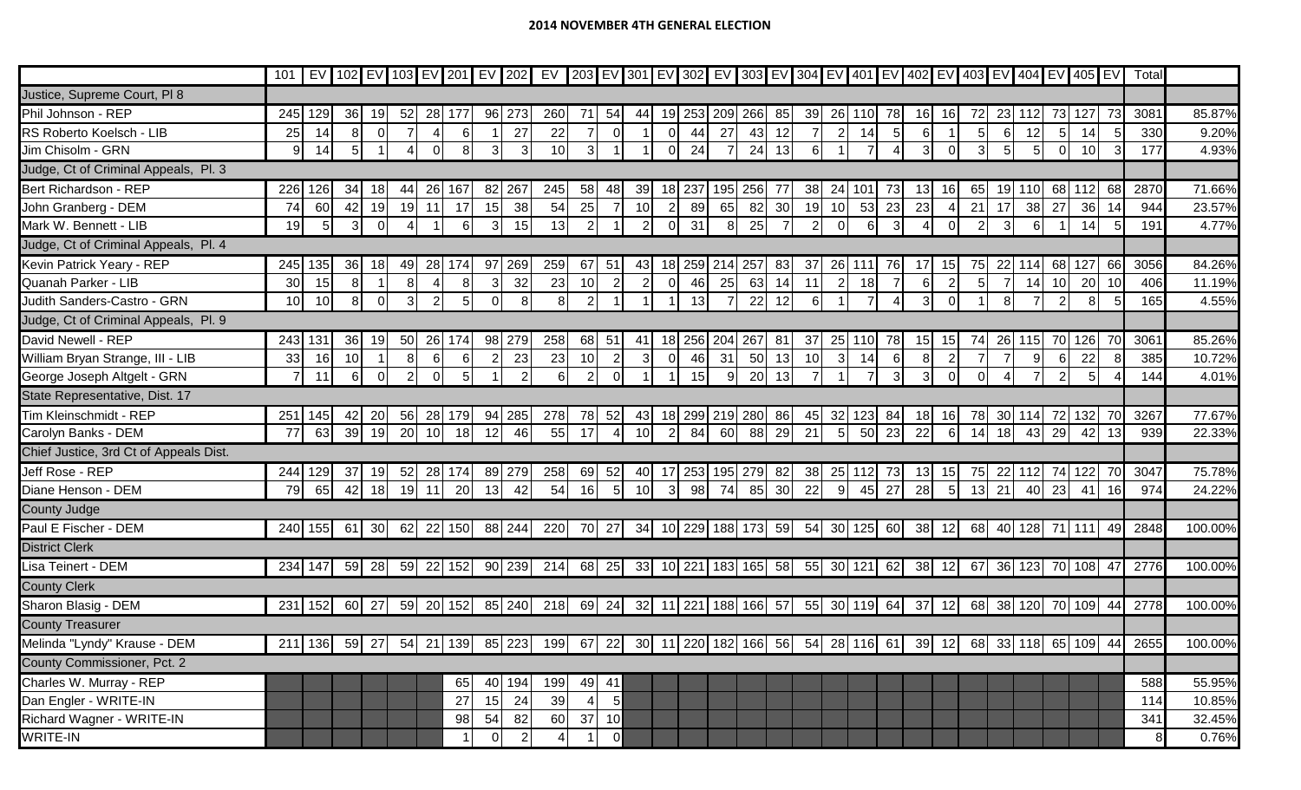|                                        | 101 |         |                |                |               |               |     |          |                | EV   102 EV   103 EV   201   EV   202   EV   203   EV   301   EV   302   EV   303   EV   304   EV   401   EV   402   EV   403   EV   404   EV   405   EV |                 |                 |                |                   |            |         |                      |                 |    |                 |           |                |         |                |    |     |        |     |                           |     | Total                                                                                                                          |         |
|----------------------------------------|-----|---------|----------------|----------------|---------------|---------------|-----|----------|----------------|----------------------------------------------------------------------------------------------------------------------------------------------------------|-----------------|-----------------|----------------|-------------------|------------|---------|----------------------|-----------------|----|-----------------|-----------|----------------|---------|----------------|----|-----|--------|-----|---------------------------|-----|--------------------------------------------------------------------------------------------------------------------------------|---------|
| Justice, Supreme Court, PI 8           |     |         |                |                |               |               |     |          |                |                                                                                                                                                          |                 |                 |                |                   |            |         |                      |                 |    |                 |           |                |         |                |    |     |        |     |                           |     |                                                                                                                                |         |
| Phil Johnson - REP                     | 245 | 129     | 36             | 19             | 52            | 28            | 177 | 96       | 273            | 260                                                                                                                                                      | -71             | 54              | 44             | 19 253            |            | 209 266 |                      | 85              | 39 | 26              | 110 I     | 78             |         | <u>16</u>      |    |     | 23 112 | 73  | 127                       |     | 3081                                                                                                                           | 85.87%  |
| RS Roberto Koelsch - LIB               | 25  | 14      | 8 <sup>1</sup> | $\overline{0}$ |               |               | 6   |          | 27             | 22                                                                                                                                                       |                 | $\overline{0}$  |                | $\overline{0}$    | 44         | 27      | 43                   | 12              |    | $\overline{2}$  | 14        | 5 <sub>5</sub> | 6       |                | 51 | -61 | 12     | 5   | 14                        | 51  | 330                                                                                                                            | 9.20%   |
| Jim Chisolm - GRN                      |     | 14      |                |                |               |               |     |          |                | 10                                                                                                                                                       |                 |                 |                |                   | 24         |         | 24                   | 13              |    |                 |           |                |         | $\Omega$       |    |     | 5      |     | 10 <sup>1</sup>           |     | 177                                                                                                                            | 4.93%   |
| Judge, Ct of Criminal Appeals, Pl. 3   |     |         |                |                |               |               |     |          |                |                                                                                                                                                          |                 |                 |                |                   |            |         |                      |                 |    |                 |           |                |         |                |    |     |        |     |                           |     |                                                                                                                                |         |
| Bert Richardson - REP                  | 226 | 126     | 34             | 18             | 44            | 26            | 167 | 82       | 267            | 245                                                                                                                                                      | 58              | 48              | 39             | 18 I              | 237        | 195     | 256                  | -77             | 38 | 24              | 101       | 73             | 13      | 16             | 65 | 19  | 110    | 68  | 112                       | 68  | 2870                                                                                                                           | 71.66%  |
| John Granberg - DEM                    | 74  | 60      | 42             | 19             | 19            | 11            | 17  | 15       | 38             | 54                                                                                                                                                       | 25              |                 | 10             |                   | 89         | 65      | 82                   | 30              | 19 | 10              | 53        | 23             | 23      |                | 21 | 17  | 38     | 27  | 36                        | 14  | 944                                                                                                                            | 23.57%  |
| Mark W. Bennett - LIB                  | 19  | 5       | $\overline{3}$ | $\Omega$       |               |               | 6   | 3        | 15             | 13                                                                                                                                                       |                 |                 | $\overline{2}$ | $\Omega$          | 31         | 8       | 25                   |                 |    | $\Omega$        | 6         | 3              |         | $\Omega$       |    |     | 6      |     | 14                        |     | 191                                                                                                                            | 4.77%   |
| Judge, Ct of Criminal Appeals, Pl. 4   |     |         |                |                |               |               |     |          |                |                                                                                                                                                          |                 |                 |                |                   |            |         |                      |                 |    |                 |           |                |         |                |    |     |        |     |                           |     |                                                                                                                                |         |
| Kevin Patrick Yeary - REP              | 245 | 135     | 36             | 18             | -49           | 28            | 174 | 97 269   |                | 259                                                                                                                                                      | 67              | 51              | 43             | 18 259            |            | 214     | 257                  | 83              | 37 | 26              | 111       | 76             |         | 15             | 75 | 22  | l 114l | 68  | 127                       | 66  | 3056                                                                                                                           | 84.26%  |
| Quanah Parker - LIB                    | 30  | 15      |                |                |               |               | 8   |          | 32             | 23                                                                                                                                                       | 10              |                 | $\overline{2}$ |                   | 46         | 25      | 63                   | 14              | 11 | 2               | 18        |                |         | $\overline{2}$ |    |     | 14     | 10  | 20                        | 10  | 406                                                                                                                            | 11.19%  |
| Judith Sanders-Castro - GRN            | 10  | 10      | 8 <sup>1</sup> | $\Omega$       | $\mathcal{E}$ | $\mathcal{P}$ | 5   | O        | 8              | 8 <sup>1</sup>                                                                                                                                           |                 |                 |                |                   | 13         |         | 22                   | 12              | 6  |                 |           |                |         | $\Omega$       |    |     |        |     | 8                         |     | 165                                                                                                                            | 4.55%   |
| Judge, Ct of Criminal Appeals, Pl. 9   |     |         |                |                |               |               |     |          |                |                                                                                                                                                          |                 |                 |                |                   |            |         |                      |                 |    |                 |           |                |         |                |    |     |        |     |                           |     |                                                                                                                                |         |
| David Newell - REP                     | 243 | 131     | 36             | 19             | 50            | 26            | 174 | 98 279   |                | 258                                                                                                                                                      | 68              | 51              | 41             | 18 256            |            | 204     | 267                  | 81              | 37 | 25              | 110       | 78             | 15      | 15             |    |     | 26 115 | 70  | 126                       | 70  | 3061                                                                                                                           | 85.26%  |
| William Bryan Strange, III - LIB       | 33  | 16      | 10             |                | 81            | $6 \,$        | 6   |          | 23             | 23                                                                                                                                                       | 10              | $\overline{2}$  | $\mathbf{3}$   | $\Omega$          | 46         | 31      | 50                   | 13              | 10 | 3 <sub>l</sub>  | 14        | 6              |         | $\overline{2}$ |    |     | 9      |     | 22                        |     | 385                                                                                                                            | 10.72%  |
| George Joseph Altgelt - GRN            |     | 11      | 6I             | $\Omega$       |               | $\Omega$      | 5   |          |                | 6                                                                                                                                                        |                 | $\Omega$        |                |                   | 15         | 9       | 20                   | 13              |    |                 |           | 3              |         | $\Omega$       |    |     |        |     |                           |     | 144                                                                                                                            | 4.01%   |
| State Representative, Dist. 17         |     |         |                |                |               |               |     |          |                |                                                                                                                                                          |                 |                 |                |                   |            |         |                      |                 |    |                 |           |                |         |                |    |     |        |     |                           |     |                                                                                                                                |         |
| Tim Kleinschmidt - REP                 | 251 | 145     | 42             | 20             | 56            | 28            | 179 | 94       | 285            | 278                                                                                                                                                      | 78              | 52              | 43             | 18 299 219 280    |            |         |                      | 86              | 45 | 32              | 123       | 84             |         | 16             | 78 |     | 30 114 | -72 | 132                       |     | 3267                                                                                                                           | 77.67%  |
| Carolyn Banks - DEM                    | 77  | 63      | 39             | 19             | 20            | 10            | 18  | 12       | 46             | 55                                                                                                                                                       | 17              |                 | 10             |                   | 84         | 60      | 88                   | 29              | 21 | $5\overline{)}$ | 50        | 23             | 22      | $6 \mid$       | 14 | 18  | 43     | 29  |                           | 13  | 939                                                                                                                            | 22.33%  |
| Chief Justice, 3rd Ct of Appeals Dist. |     |         |                |                |               |               |     |          |                |                                                                                                                                                          |                 |                 |                |                   |            |         |                      |                 |    |                 |           |                |         |                |    |     |        |     |                           |     |                                                                                                                                |         |
| Jeff Rose - REP                        | 244 | 129     | 37             | 19             | 52            | 28            | 174 | 89       | 279            | 258                                                                                                                                                      | 69              | 52              | 40             | -17               | <b>253</b> | 195     | 279                  | 82              | 38 | 25              |           | $\sqrt{3}$     |         | 15             |    | 22  |        |     |                           | -70 | 3047                                                                                                                           | 75.78%  |
| Diane Henson - DEM                     | 79  | 65      | 42             | 18             | 19            | 11            | 20  | 13       | 42             | 54                                                                                                                                                       | 16 <sup>1</sup> | 5 <sub>l</sub>  | 10             | 3I                | -98        | 74      | 85                   | 30 <sup>l</sup> | 22 | 9               | 45        | 27             | 28      | 5 <sup>1</sup> | 13 | 21  | 40     | 23  | 41                        | 16  | 974                                                                                                                            | 24.22%  |
| County Judge                           |     |         |                |                |               |               |     |          |                |                                                                                                                                                          |                 |                 |                |                   |            |         |                      |                 |    |                 |           |                |         |                |    |     |        |     |                           |     |                                                                                                                                |         |
| Paul E Fischer - DEM                   |     | 240 155 | 61 30          |                |               | 62 22 150     |     | 88 244   |                | 220                                                                                                                                                      | 70 27           |                 |                |                   |            |         | 34 10 229 188 173 59 |                 | 54 |                 | 30 125 60 |                | 38 12   |                |    |     |        |     | 68 40 128 71 111 49       |     | 2848                                                                                                                           | 100.00% |
| <b>District Clerk</b>                  |     |         |                |                |               |               |     |          |                |                                                                                                                                                          |                 |                 |                |                   |            |         |                      |                 |    |                 |           |                |         |                |    |     |        |     |                           |     |                                                                                                                                |         |
| Lisa Teinert - DEM                     |     | 234 147 | 59 28          |                |               | 59 22 152     |     |          | 90 239         | 214                                                                                                                                                      | 68 25           |                 |                | 33 10 221 183 165 |            |         |                      | 58              | 55 |                 | 30 121 62 |                | $38$ 12 |                |    |     |        |     | 67 36 123 70 108 47       |     | 2776                                                                                                                           | 100.00% |
| <b>County Clerk</b>                    |     |         |                |                |               |               |     |          |                |                                                                                                                                                          |                 |                 |                |                   |            |         |                      |                 |    |                 |           |                |         |                |    |     |        |     |                           |     |                                                                                                                                |         |
| Sharon Blasig - DEM                    |     | 231 152 | 60 27          |                |               | 59 20 152     |     |          | 85 240         | 218                                                                                                                                                      | 69 24           |                 |                |                   |            |         | 32 11 221 188 166 57 |                 | 55 |                 | 30 119 64 |                |         |                |    |     |        |     | 37 12 68 38 120 70 109 44 |     | 2778                                                                                                                           | 100.00% |
| <b>County Treasurer</b>                |     |         |                |                |               |               |     |          |                |                                                                                                                                                          |                 |                 |                |                   |            |         |                      |                 |    |                 |           |                |         |                |    |     |        |     |                           |     |                                                                                                                                |         |
| Melinda "Lyndy" Krause - DEM           |     |         |                |                |               |               |     |          |                |                                                                                                                                                          |                 |                 |                |                   |            |         |                      |                 |    |                 |           |                |         |                |    |     |        |     |                           |     | 211 136  59  27  54  21 139  85 223  199  67  22  30  11 220 182 166  56  54  28 116  61  39  12  68  33 118  65 109  44  2655 | 100.00% |
| County Commissioner, Pct. 2            |     |         |                |                |               |               |     |          |                |                                                                                                                                                          |                 |                 |                |                   |            |         |                      |                 |    |                 |           |                |         |                |    |     |        |     |                           |     |                                                                                                                                |         |
| Charles W. Murray - REP                |     |         |                |                |               |               | 65  |          | 40 194         | 199                                                                                                                                                      | 49 41           |                 |                |                   |            |         |                      |                 |    |                 |           |                |         |                |    |     |        |     |                           |     | 588                                                                                                                            | 55.95%  |
| Dan Engler - WRITE-IN                  |     |         |                |                |               |               | 27  | 15       | 24             | 39                                                                                                                                                       |                 | $5\overline{)}$ |                |                   |            |         |                      |                 |    |                 |           |                |         |                |    |     |        |     |                           |     | 114                                                                                                                            | 10.85%  |
| Richard Wagner - WRITE-IN              |     |         |                |                |               |               | 98  | 54       | 82             | 60                                                                                                                                                       | $37$ 10         |                 |                |                   |            |         |                      |                 |    |                 |           |                |         |                |    |     |        |     |                           |     | 341                                                                                                                            | 32.45%  |
| <b>WRITE-IN</b>                        |     |         |                |                |               |               |     | $\Omega$ | $\overline{2}$ |                                                                                                                                                          |                 | 0               |                |                   |            |         |                      |                 |    |                 |           |                |         |                |    |     |        |     |                           |     |                                                                                                                                | 0.76%   |